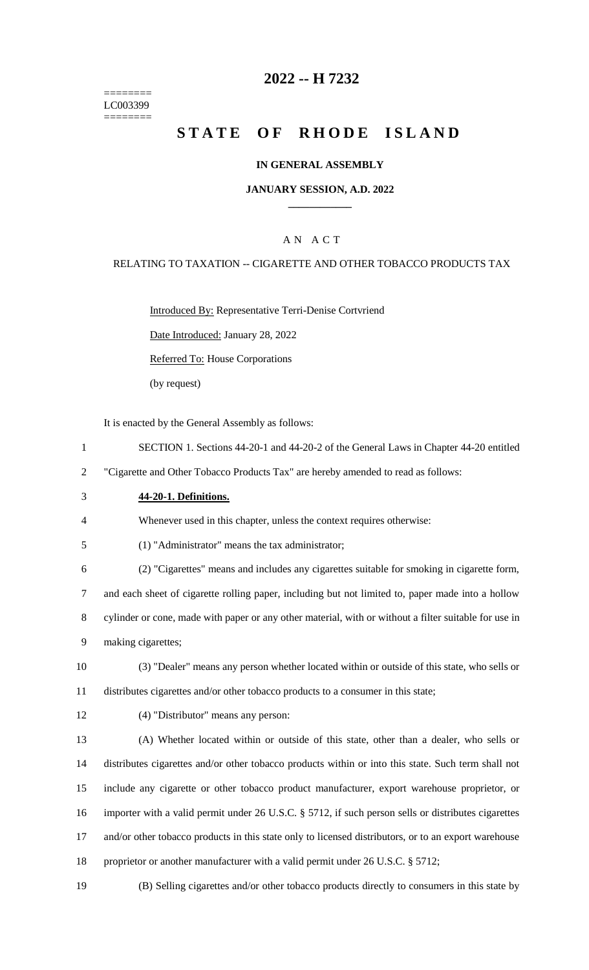======== LC003399 ========

# **2022 -- H 7232**

# **STATE OF RHODE ISLAND**

#### **IN GENERAL ASSEMBLY**

#### **JANUARY SESSION, A.D. 2022 \_\_\_\_\_\_\_\_\_\_\_\_**

### A N A C T

#### RELATING TO TAXATION -- CIGARETTE AND OTHER TOBACCO PRODUCTS TAX

Introduced By: Representative Terri-Denise Cortvriend

Date Introduced: January 28, 2022

Referred To: House Corporations

(by request)

It is enacted by the General Assembly as follows:

- 1 SECTION 1. Sections 44-20-1 and 44-20-2 of the General Laws in Chapter 44-20 entitled
- 2 "Cigarette and Other Tobacco Products Tax" are hereby amended to read as follows:
- 3 **44-20-1. Definitions.**

4 Whenever used in this chapter, unless the context requires otherwise:

5 (1) "Administrator" means the tax administrator;

 (2) "Cigarettes" means and includes any cigarettes suitable for smoking in cigarette form, and each sheet of cigarette rolling paper, including but not limited to, paper made into a hollow cylinder or cone, made with paper or any other material, with or without a filter suitable for use in making cigarettes;

- 10 (3) "Dealer" means any person whether located within or outside of this state, who sells or 11 distributes cigarettes and/or other tobacco products to a consumer in this state;
- 

12 (4) "Distributor" means any person:

 (A) Whether located within or outside of this state, other than a dealer, who sells or distributes cigarettes and/or other tobacco products within or into this state. Such term shall not include any cigarette or other tobacco product manufacturer, export warehouse proprietor, or importer with a valid permit under 26 U.S.C. § 5712, if such person sells or distributes cigarettes and/or other tobacco products in this state only to licensed distributors, or to an export warehouse 18 proprietor or another manufacturer with a valid permit under 26 U.S.C. § 5712;

19 (B) Selling cigarettes and/or other tobacco products directly to consumers in this state by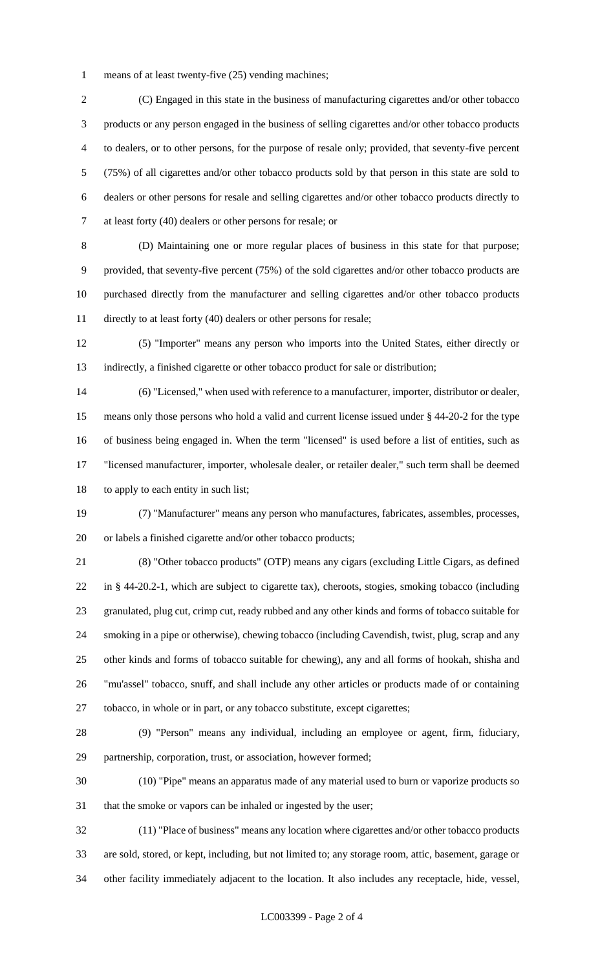means of at least twenty-five (25) vending machines;

 (C) Engaged in this state in the business of manufacturing cigarettes and/or other tobacco products or any person engaged in the business of selling cigarettes and/or other tobacco products to dealers, or to other persons, for the purpose of resale only; provided, that seventy-five percent (75%) of all cigarettes and/or other tobacco products sold by that person in this state are sold to dealers or other persons for resale and selling cigarettes and/or other tobacco products directly to at least forty (40) dealers or other persons for resale; or

 (D) Maintaining one or more regular places of business in this state for that purpose; provided, that seventy-five percent (75%) of the sold cigarettes and/or other tobacco products are purchased directly from the manufacturer and selling cigarettes and/or other tobacco products directly to at least forty (40) dealers or other persons for resale;

 (5) "Importer" means any person who imports into the United States, either directly or indirectly, a finished cigarette or other tobacco product for sale or distribution;

 (6) "Licensed," when used with reference to a manufacturer, importer, distributor or dealer, means only those persons who hold a valid and current license issued under § 44-20-2 for the type of business being engaged in. When the term "licensed" is used before a list of entities, such as "licensed manufacturer, importer, wholesale dealer, or retailer dealer," such term shall be deemed to apply to each entity in such list;

 (7) "Manufacturer" means any person who manufactures, fabricates, assembles, processes, or labels a finished cigarette and/or other tobacco products;

 (8) "Other tobacco products" (OTP) means any cigars (excluding Little Cigars, as defined in § 44-20.2-1, which are subject to cigarette tax), cheroots, stogies, smoking tobacco (including granulated, plug cut, crimp cut, ready rubbed and any other kinds and forms of tobacco suitable for smoking in a pipe or otherwise), chewing tobacco (including Cavendish, twist, plug, scrap and any other kinds and forms of tobacco suitable for chewing), any and all forms of hookah, shisha and "mu'assel" tobacco, snuff, and shall include any other articles or products made of or containing tobacco, in whole or in part, or any tobacco substitute, except cigarettes;

 (9) "Person" means any individual, including an employee or agent, firm, fiduciary, partnership, corporation, trust, or association, however formed;

 (10) "Pipe" means an apparatus made of any material used to burn or vaporize products so that the smoke or vapors can be inhaled or ingested by the user;

 (11) "Place of business" means any location where cigarettes and/or other tobacco products are sold, stored, or kept, including, but not limited to; any storage room, attic, basement, garage or other facility immediately adjacent to the location. It also includes any receptacle, hide, vessel,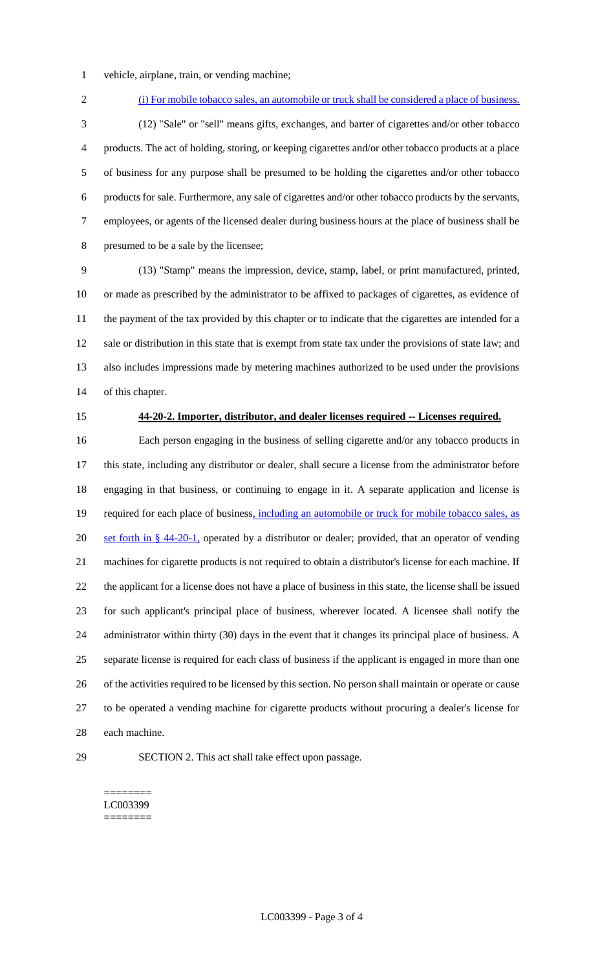- vehicle, airplane, train, or vending machine;
- 

(i) For mobile tobacco sales, an automobile or truck shall be considered a place of business.

 (12) "Sale" or "sell" means gifts, exchanges, and barter of cigarettes and/or other tobacco products. The act of holding, storing, or keeping cigarettes and/or other tobacco products at a place of business for any purpose shall be presumed to be holding the cigarettes and/or other tobacco products for sale. Furthermore, any sale of cigarettes and/or other tobacco products by the servants, employees, or agents of the licensed dealer during business hours at the place of business shall be presumed to be a sale by the licensee;

 (13) "Stamp" means the impression, device, stamp, label, or print manufactured, printed, or made as prescribed by the administrator to be affixed to packages of cigarettes, as evidence of the payment of the tax provided by this chapter or to indicate that the cigarettes are intended for a sale or distribution in this state that is exempt from state tax under the provisions of state law; and also includes impressions made by metering machines authorized to be used under the provisions of this chapter.

#### **44-20-2. Importer, distributor, and dealer licenses required -- Licenses required.**

 Each person engaging in the business of selling cigarette and/or any tobacco products in this state, including any distributor or dealer, shall secure a license from the administrator before engaging in that business, or continuing to engage in it. A separate application and license is 19 required for each place of business, including an automobile or truck for mobile tobacco sales, as 20 set forth in § 44-20-1, operated by a distributor or dealer; provided, that an operator of vending machines for cigarette products is not required to obtain a distributor's license for each machine. If the applicant for a license does not have a place of business in this state, the license shall be issued for such applicant's principal place of business, wherever located. A licensee shall notify the 24 administrator within thirty (30) days in the event that it changes its principal place of business. A separate license is required for each class of business if the applicant is engaged in more than one 26 of the activities required to be licensed by this section. No person shall maintain or operate or cause to be operated a vending machine for cigarette products without procuring a dealer's license for each machine.

SECTION 2. This act shall take effect upon passage.

======== LC003399 ========